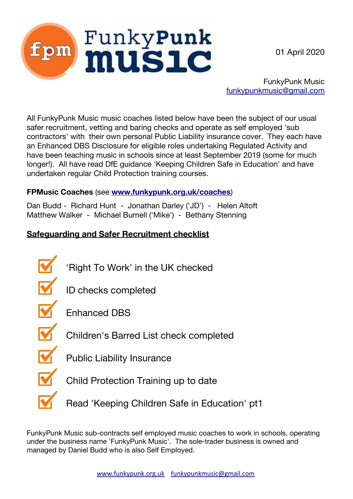01 April 2020



FunkyPunk Music [funkypunkmusic@gmail.com](mailto:funkypunkmusic@gmail.com)

All FunkyPunk Music music coaches listed below have been the subject of our usual safer recruitment, vetting and baring checks and operate as self employed 'sub contractors' with their own personal Public Liability insurance cover. They each have an Enhanced DBS Disclosure for eligible roles undertaking Regulated Activity and have been teaching music in schools since at least September 2019 (some for much longer!). All have read DfE guidance 'Keeping Children Safe in Education' and have undertaken regular Child Protection training courses.

### **FPMusic Coaches** (see **[www.funkypunk.org.uk/coaches](http://www.funkypunk.org.uk/coaches)**)

Dan Budd - Richard Hunt - Jonathan Darley ('JD') - Helen Altoft Matthew Walker - Michael Burnell ('Mike') - Bethany Stenning

# **Safeguarding and Safer Recruitment checklist**



FunkyPunk Music sub-contracts self employed music coaches to work in schools, operating under the business name 'FunkyPunk Music'. The sole-trader business is owned and managed by Daniel Budd who is also Self Employed.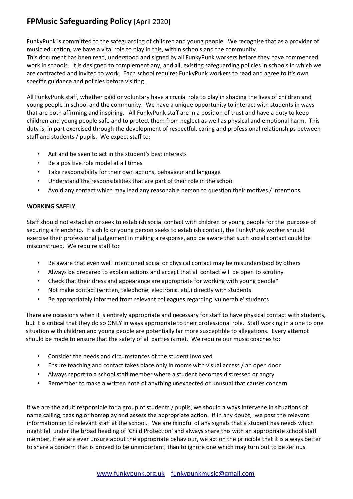## **FPMusic Safeguarding Policy** [April 2020]

FunkyPunk is commited to the safeguarding of children and young people. We recognise that as a provider of music educaton, we have a vital role to play in this, within schools and the community. This document has been read, understood and signed by all FunkyPunk workers before they have commenced work in schools. It is designed to complement any, and all, existng safeguarding policies in schools in which we are contracted and invited to work. Each school requires FunkyPunk workers to read and agree to it's own specific guidance and policies before visiting.

All FunkyPunk staf, whether paid or voluntary have a crucial role to play in shaping the lives of children and young people in school and the community. We have a unique opportunity to interact with students in ways that are both affirming and inspiring. All FunkyPunk staff are in a position of trust and have a duty to keep children and young people safe and to protect them from neglect as well as physical and emotonal harm. This duty is, in part exercised through the development of respectful, caring and professional relationships between staff and students / pupils. We expect staff to:

- Act and be seen to act in the student's best interests
- Be a positive role model at all times
- Take responsibility for their own actions, behaviour and language
- Understand the responsibilites that are part of their role in the school
- Avoid any contact which may lead any reasonable person to question their motives / intentions

#### **WORKING SAFELY**

Staf should not establish or seek to establish social contact with children or young people for the purpose of securing a friendship. If a child or young person seeks to establish contact, the FunkyPunk worker should exercise their professional judgement in making a response, and be aware that such social contact could be misconstrued. We require staff to:

- Be aware that even well intentioned social or physical contact may be misunderstood by others
- Always be prepared to explain actions and accept that all contact will be open to scrutiny
- Check that their dress and appearance are appropriate for working with young people\*
- Not make contact (writen, telephone, electronic, etc.) directly with students
- Be appropriately informed from relevant colleagues regarding 'vulnerable' students

There are occasions when it is entirely appropriate and necessary for staff to have physical contact with students, but it is critical that they do so ONLY in ways appropriate to their professional role. Staff working in a one to one situation with children and young people are potentially far more susceptible to allegations. Every attempt should be made to ensure that the safety of all parties is met. We require our music coaches to:

- Consider the needs and circumstances of the student involved
- Ensure teaching and contact takes place only in rooms with visual access / an open door
- Always report to a school staff member where a student becomes distressed or angry
- Remember to make a writen note of anything unexpected or unusual that causes concern

If we are the adult responsible for a group of students / pupils, we should always intervene in situatons of name calling, teasing or horseplay and assess the appropriate acton. If in any doubt, we pass the relevant information on to relevant staff at the school. We are mindful of any signals that a student has needs which might fall under the broad heading of 'Child Protection' and always share this with an appropriate school staff member. If we are ever unsure about the appropriate behaviour, we act on the principle that it is always better to share a concern that is proved to be unimportant, than to ignore one which may turn out to be serious.